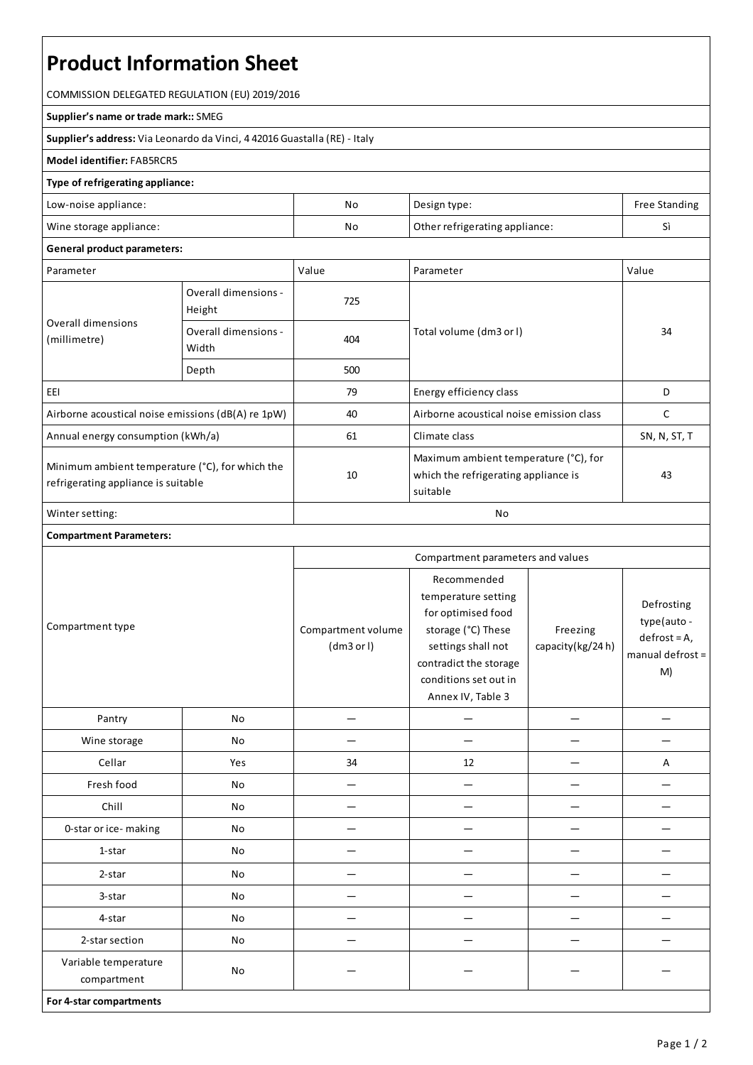# **Product Information Sheet**

COMMISSION DELEGATED REGULATION (EU) 2019/2016

#### **Supplier's name or trade mark::**SMEG

**Supplier's address:** ViaLeonardo da Vinci, 4 42016 Guastalla(RE) - Italy

### **Model identifier:**FAB5RCR5

## **Type of refrigerating appliance:**

| Low-noise appliance:    | No | Design type:                   | Free Standing |
|-------------------------|----|--------------------------------|---------------|
| Wine storage appliance: | No | Other refrigerating appliance: |               |

#### **General product parameters:**

| Parameter                                                                              |                                | Value | Parameter                                                                                 | Value        |
|----------------------------------------------------------------------------------------|--------------------------------|-------|-------------------------------------------------------------------------------------------|--------------|
| Overall dimensions<br>(millimetre)                                                     | Overall dimensions -<br>Height | 725   |                                                                                           | 34           |
|                                                                                        | Overall dimensions -<br>Width  | 404   | Total volume (dm3 or l)                                                                   |              |
|                                                                                        | Depth                          | 500   |                                                                                           |              |
| EEI                                                                                    |                                | 79    | Energy efficiency class                                                                   | D            |
| Airborne acoustical noise emissions (dB(A) re 1pW)                                     |                                | 40    | Airborne acoustical noise emission class                                                  | C            |
| Annual energy consumption (kWh/a)                                                      |                                | 61    | Climate class                                                                             | SN, N, ST, T |
| Minimum ambient temperature (°C), for which the<br>refrigerating appliance is suitable |                                | 10    | Maximum ambient temperature (°C), for<br>which the refrigerating appliance is<br>suitable | 43           |
| Winter setting:                                                                        |                                | No    |                                                                                           |              |

# **Compartment Parameters:**

| Compartment type                    |     | Compartment parameters and values |                                                                                                                                                                              |                              |                                                                       |
|-------------------------------------|-----|-----------------------------------|------------------------------------------------------------------------------------------------------------------------------------------------------------------------------|------------------------------|-----------------------------------------------------------------------|
|                                     |     | Compartment volume<br>(dm3 or l)  | Recommended<br>temperature setting<br>for optimised food<br>storage (°C) These<br>settings shall not<br>contradict the storage<br>conditions set out in<br>Annex IV, Table 3 | Freezing<br>capacity(kg/24h) | Defrosting<br>type(auto -<br>$defrost = A,$<br>manual defrost =<br>M) |
| Pantry                              | No  |                                   |                                                                                                                                                                              |                              |                                                                       |
| Wine storage                        | No  |                                   |                                                                                                                                                                              |                              |                                                                       |
| Cellar                              | Yes | 34                                | 12                                                                                                                                                                           |                              | А                                                                     |
| Fresh food                          | No  |                                   |                                                                                                                                                                              |                              |                                                                       |
| Chill                               | No  |                                   |                                                                                                                                                                              |                              |                                                                       |
| 0-star or ice-making                | No  |                                   |                                                                                                                                                                              |                              |                                                                       |
| 1-star                              | No  |                                   |                                                                                                                                                                              |                              |                                                                       |
| 2-star                              | No  |                                   |                                                                                                                                                                              |                              |                                                                       |
| 3-star                              | No  |                                   |                                                                                                                                                                              |                              |                                                                       |
| 4-star                              | No  |                                   |                                                                                                                                                                              |                              |                                                                       |
| 2-star section                      | No  |                                   |                                                                                                                                                                              |                              |                                                                       |
| Variable temperature<br>compartment | No  |                                   |                                                                                                                                                                              |                              |                                                                       |
| For 4-star compartments             |     |                                   |                                                                                                                                                                              |                              |                                                                       |